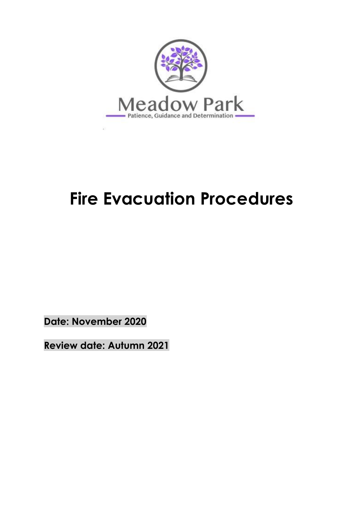

# **Fire Evacuation Procedures**

**Date: November 2020**

**Review date: Autumn 2021**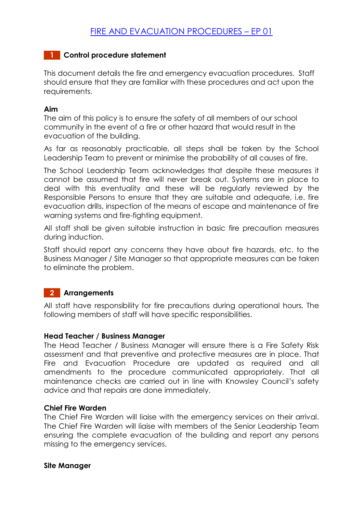### **1 Control procedure statement**

This document details the fire and emergency evacuation procedures. Staff should ensure that they are familiar with these procedures and act upon the requirements.

#### **Aim**

The aim of this policy is to ensure the safety of all members of our school community in the event of a fire or other hazard that would result in the evacuation of the building.

As far as reasonably practicable, all steps shall be taken by the School Leadership Team to prevent or minimise the probability of all causes of fire.

The School Leadership Team acknowledges that despite these measures it cannot be assumed that fire will never break out. Systems are in place to deal with this eventuality and these will be regularly reviewed by the Responsible Persons to ensure that they are suitable and adequate, i.e. fire evacuation drills, inspection of the means of escape and maintenance of fire warning systems and fire-fighting equipment.

All staff shall be given suitable instruction in basic fire precaution measures during induction.

Staff should report any concerns they have about fire hazards, etc. to the Business Manager / Site Manager so that appropriate measures can be taken to eliminate the problem.

#### **2 Arrangements**

All staff have responsibility for fire precautions during operational hours. The following members of staff will have specific responsibilities.

#### **Head Teacher / Business Manager**

The Head Teacher / Business Manager will ensure there is a Fire Safety Risk assessment and that preventive and protective measures are in place. That Fire and Evacuation Procedure are updated as required and all amendments to the procedure communicated appropriately. That all maintenance checks are carried out in line with Knowsley Council's safety advice and that repairs are done immediately.

#### **Chief Fire Warden**

The Chief Fire Warden will liaise with the emergency services on their arrival. The Chief Fire Warden will liaise with members of the Senior Leadership Team ensuring the complete evacuation of the building and report any persons missing to the emergency services.

#### **Site Manager**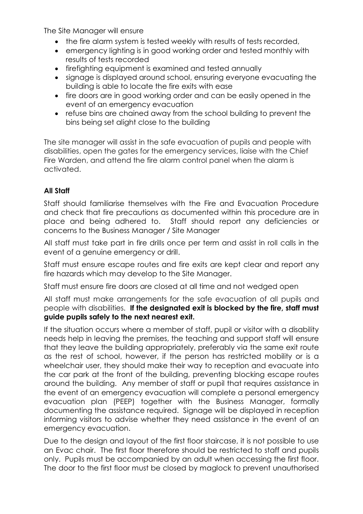The Site Manager will ensure

- the fire alarm system is tested weekly with results of tests recorded,
- emergency lighting is in good working order and tested monthly with results of tests recorded
- firefighting equipment is examined and tested annually
- signage is displayed around school, ensuring everyone evacuating the building is able to locate the fire exits with ease
- fire doors are in good working order and can be easily opened in the event of an emergency evacuation
- refuse bins are chained away from the school building to prevent the bins being set alight close to the building

The site manager will assist in the safe evacuation of pupils and people with disabilities, open the gates for the emergency services, liaise with the Chief Fire Warden, and attend the fire alarm control panel when the alarm is activated.

# **All Staff**

Staff should familiarise themselves with the Fire and Evacuation Procedure and check that fire precautions as documented within this procedure are in place and being adhered to. Staff should report any deficiencies or concerns to the Business Manager / Site Manager

All staff must take part in fire drills once per term and assist in roll calls in the event of a genuine emergency or drill.

Staff must ensure escape routes and fire exits are kept clear and report any fire hazards which may develop to the Site Manager.

Staff must ensure fire doors are closed at all time and not wedged open

All staff must make arrangements for the safe evacuation of all pupils and people with disabilities. **If the designated exit is blocked by the fire, staff must guide pupils safely to the next nearest exit.** 

If the situation occurs where a member of staff, pupil or visitor with a disability needs help in leaving the premises, the teaching and support staff will ensure that they leave the building appropriately, preferably via the same exit route as the rest of school, however, if the person has restricted mobility or is a wheelchair user, they should make their way to reception and evacuate into the car park at the front of the building, preventing blocking escape routes around the building. Any member of staff or pupil that requires assistance in the event of an emergency evacuation will complete a personal emergency evacuation plan (PEEP) together with the Business Manager, formally documenting the assistance required. Signage will be displayed in reception informing visitors to advise whether they need assistance in the event of an emergency evacuation.

Due to the design and layout of the first floor staircase, it is not possible to use an Evac chair. The first floor therefore should be restricted to staff and pupils only. Pupils must be accompanied by an adult when accessing the first floor. The door to the first floor must be closed by maglock to prevent unauthorised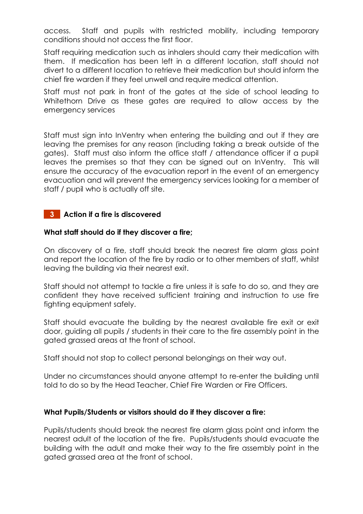access. Staff and pupils with restricted mobility, including temporary conditions should not access the first floor.

Staff requiring medication such as inhalers should carry their medication with them. If medication has been left in a different location, staff should not divert to a different location to retrieve their medication but should inform the chief fire warden if they feel unwell and require medical attention.

Staff must not park in front of the gates at the side of school leading to Whitethorn Drive as these gates are required to allow access by the emergency services

Staff must sign into InVentry when entering the building and out if they are leaving the premises for any reason (including taking a break outside of the gates). Staff must also inform the office staff / attendance officer if a pupil leaves the premises so that they can be signed out on InVentry. This will ensure the accuracy of the evacuation report in the event of an emergency evacuation and will prevent the emergency services looking for a member of staff / pupil who is actually off site.

#### **3 Action if a fire is discovered**

#### **What staff should do if they discover a fire;**

On discovery of a fire, staff should break the nearest fire alarm glass point and report the location of the fire by radio or to other members of staff, whilst leaving the building via their nearest exit.

Staff should not attempt to tackle a fire unless it is safe to do so, and they are confident they have received sufficient training and instruction to use fire fighting equipment safely.

Staff should evacuate the building by the nearest available fire exit or exit door, guiding all pupils / students in their care to the fire assembly point in the gated grassed areas at the front of school.

Staff should not stop to collect personal belongings on their way out.

Under no circumstances should anyone attempt to re-enter the building until told to do so by the Head Teacher, Chief Fire Warden or Fire Officers.

#### **What Pupils/Students or visitors should do if they discover a fire:**

Pupils/students should break the nearest fire alarm glass point and inform the nearest adult of the location of the fire. Pupils/students should evacuate the building with the adult and make their way to the fire assembly point in the gated grassed area at the front of school.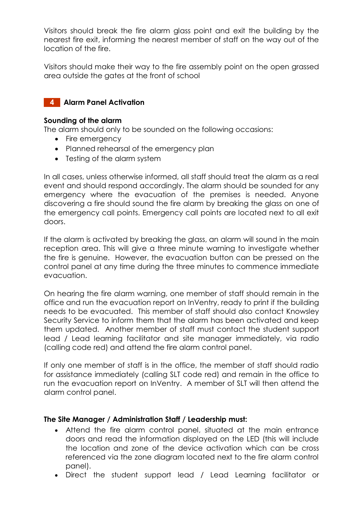Visitors should break the fire alarm glass point and exit the building by the nearest fire exit, informing the nearest member of staff on the way out of the location of the fire.

Visitors should make their way to the fire assembly point on the open grassed area outside the gates at the front of school

### **4 Alarm Panel Activation**

#### **Sounding of the alarm**

The alarm should only to be sounded on the following occasions:

- Fire emergency
- Planned rehearsal of the emergency plan
- Testing of the alarm system

In all cases, unless otherwise informed, all staff should treat the alarm as a real event and should respond accordingly. The alarm should be sounded for any emergency where the evacuation of the premises is needed. Anyone discovering a fire should sound the fire alarm by breaking the glass on one of the emergency call points. Emergency call points are located next to all exit doors.

If the alarm is activated by breaking the glass, an alarm will sound in the main reception area. This will give a three minute warning to investigate whether the fire is genuine. However, the evacuation button can be pressed on the control panel at any time during the three minutes to commence immediate evacuation.

On hearing the fire alarm warning, one member of staff should remain in the office and run the evacuation report on InVentry, ready to print if the building needs to be evacuated. This member of staff should also contact Knowsley Security Service to inform them that the alarm has been activated and keep them updated. Another member of staff must contact the student support lead / Lead learning facilitator and site manager immediately, via radio (calling code red) and attend the fire alarm control panel.

If only one member of staff is in the office, the member of staff should radio for assistance immediately (calling SLT code red) and remain in the office to run the evacuation report on InVentry. A member of SLT will then attend the alarm control panel.

#### **The Site Manager / Administration Staff / Leadership must:**

- Attend the fire alarm control panel, situated at the main entrance doors and read the information displayed on the LED (this will include the location and zone of the device activation which can be cross referenced via the zone diagram located next to the fire alarm control panel).
- Direct the student support lead / Lead Learning facilitator or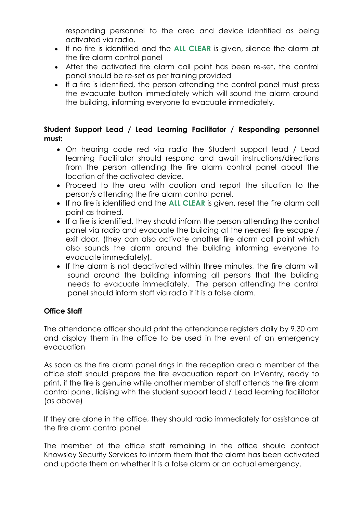responding personnel to the area and device identified as being activated via radio.

- If no fire is identified and the **ALL CLEAR** is given, silence the alarm at the fire alarm control panel
- After the activated fire alarm call point has been re-set, the control panel should be re-set as per training provided
- If a fire is identified, the person attending the control panel must press the evacuate button immediately which will sound the alarm around the building, informing everyone to evacuate immediately.

# **Student Support Lead / Lead Learning Facilitator / Responding personnel must:**

- On hearing code red via radio the Student support lead / Lead learning Facilitator should respond and await instructions/directions from the person attending the fire alarm control panel about the location of the activated device.
- Proceed to the area with caution and report the situation to the person/s attending the fire alarm control panel.
- If no fire is identified and the **ALL CLEAR** is given, reset the fire alarm call point as trained.
- If a fire is identified, they should inform the person attending the control panel via radio and evacuate the building at the nearest fire escape / exit door, (they can also activate another fire alarm call point which also sounds the alarm around the building informing everyone to evacuate immediately).
- If the alarm is not deactivated within three minutes, the fire alarm will sound around the building informing all persons that the building needs to evacuate immediately. The person attending the control panel should inform staff via radio if it is a false alarm.

# **Office Staff**

The attendance officer should print the attendance registers daily by 9.30 am and display them in the office to be used in the event of an emergency evacuation

As soon as the fire alarm panel rings in the reception area a member of the office staff should prepare the fire evacuation report on InVentry, ready to print, if the fire is genuine while another member of staff attends the fire alarm control panel, liaising with the student support lead / Lead learning facilitator (as above)

If they are alone in the office, they should radio immediately for assistance at the fire alarm control panel

The member of the office staff remaining in the office should contact Knowsley Security Services to inform them that the alarm has been activated and update them on whether it is a false alarm or an actual emergency.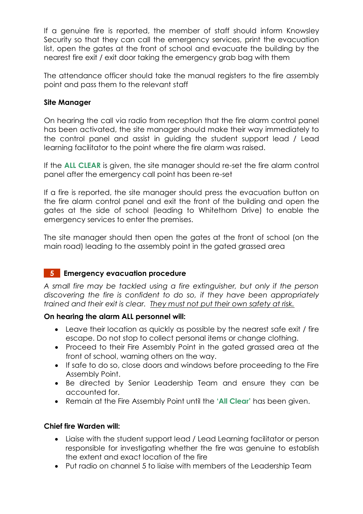If a genuine fire is reported, the member of staff should inform Knowsley Security so that they can call the emergency services, print the evacuation list, open the gates at the front of school and evacuate the building by the nearest fire exit / exit door taking the emergency grab bag with them

The attendance officer should take the manual registers to the fire assembly point and pass them to the relevant staff

#### **Site Manager**

On hearing the call via radio from reception that the fire alarm control panel has been activated, the site manager should make their way immediately to the control panel and assist in guiding the student support lead / Lead learning facilitator to the point where the fire alarm was raised.

If the **ALL CLEAR** is given, the site manager should re-set the fire alarm control panel after the emergency call point has been re-set

If a fire is reported, the site manager should press the evacuation button on the fire alarm control panel and exit the front of the building and open the gates at the side of school (leading to Whitethorn Drive) to enable the emergency services to enter the premises.

The site manager should then open the gates at the front of school (on the main road) leading to the assembly point in the gated grassed area

# **5 Emergency evacuation procedure**

*A small fire may be tackled using a fire extinguisher, but only if the person discovering the fire is confident to do so, if they have been appropriately trained and their exit is clear. They must not put their own safety at risk.*

#### **On hearing the alarm ALL personnel will:**

- Leave their location as quickly as possible by the nearest safe exit / fire escape. Do not stop to collect personal items or change clothing.
- Proceed to their Fire Assembly Point in the gated grassed area at the front of school, warning others on the way.
- If safe to do so, close doors and windows before proceeding to the Fire Assembly Point.
- Be directed by Senior Leadership Team and ensure they can be accounted for.
- Remain at the Fire Assembly Point until the **'All Clear'** has been given.

#### **Chief fire Warden will:**

- Liaise with the student support lead / Lead Learning facilitator or person responsible for investigating whether the fire was genuine to establish the extent and exact location of the fire
- Put radio on channel 5 to liaise with members of the Leadership Team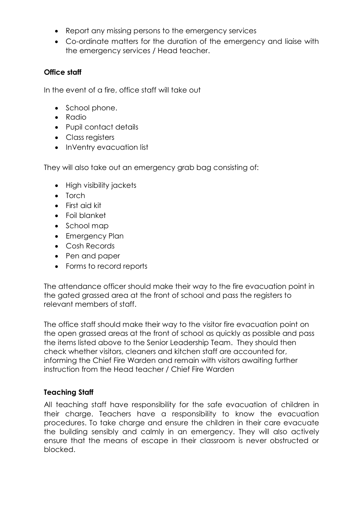- Report any missing persons to the emergency services
- Co-ordinate matters for the duration of the emergency and liaise with the emergency services / Head teacher.

#### **Office staff**

In the event of a fire, office staff will take out

- School phone.
- Radio
- Pupil contact details
- Class registers
- InVentry evacuation list

They will also take out an emergency grab bag consisting of:

- High visibility jackets
- Torch
- First aid kit
- Foil blanket
- School map
- Emergency Plan
- Cosh Records
- Pen and paper
- Forms to record reports

The attendance officer should make their way to the fire evacuation point in the gated grassed area at the front of school and pass the registers to relevant members of staff.

The office staff should make their way to the visitor fire evacuation point on the open grassed areas at the front of school as quickly as possible and pass the items listed above to the Senior Leadership Team. They should then check whether visitors, cleaners and kitchen staff are accounted for, informing the Chief Fire Warden and remain with visitors awaiting further instruction from the Head teacher / Chief Fire Warden

#### **Teaching Staff**

All teaching staff have responsibility for the safe evacuation of children in their charge. Teachers have a responsibility to know the evacuation procedures. To take charge and ensure the children in their care evacuate the building sensibly and calmly in an emergency. They will also actively ensure that the means of escape in their classroom is never obstructed or blocked.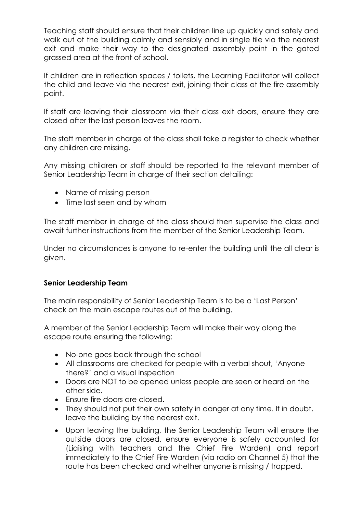Teaching staff should ensure that their children line up quickly and safely and walk out of the building calmly and sensibly and in single file via the nearest exit and make their way to the designated assembly point in the gated grassed area at the front of school.

If children are in reflection spaces / toilets, the Learning Facilitator will collect the child and leave via the nearest exit, joining their class at the fire assembly point.

If staff are leaving their classroom via their class exit doors, ensure they are closed after the last person leaves the room.

The staff member in charge of the class shall take a register to check whether any children are missing.

Any missing children or staff should be reported to the relevant member of Senior Leadership Team in charge of their section detailing:

- Name of missing person
- Time last seen and by whom

The staff member in charge of the class should then supervise the class and await further instructions from the member of the Senior Leadership Team.

Under no circumstances is anyone to re-enter the building until the all clear is given.

#### **Senior Leadership Team**

The main responsibility of Senior Leadership Team is to be a 'Last Person' check on the main escape routes out of the building.

A member of the Senior Leadership Team will make their way along the escape route ensuring the following:

- No-one goes back through the school
- All classrooms are checked for people with a verbal shout, 'Anyone there?' and a visual inspection
- Doors are NOT to be opened unless people are seen or heard on the other side.
- Ensure fire doors are closed.
- They should not put their own safety in danger at any time. If in doubt, leave the building by the nearest exit.
- Upon leaving the building, the Senior Leadership Team will ensure the outside doors are closed, ensure everyone is safely accounted for (Liaising with teachers and the Chief Fire Warden) and report immediately to the Chief Fire Warden (via radio on Channel 5) that the route has been checked and whether anyone is missing / trapped.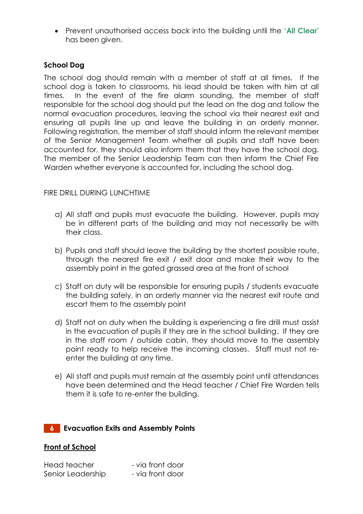Prevent unauthorised access back into the building until the **'All Clear'** has been given.

#### **School Dog**

The school dog should remain with a member of staff at all times. If the school dog is taken to classrooms, his lead should be taken with him at all times. In the event of the fire alarm sounding, the member of staff responsible for the school dog should put the lead on the dog and follow the normal evacuation procedures, leaving the school via their nearest exit and ensuring all pupils line up and leave the building in an orderly manner. Following registration, the member of staff should inform the relevant member of the Senior Management Team whether all pupils and staff have been accounted for, they should also inform them that they have the school dog. The member of the Senior Leadership Team can then inform the Chief Fire Warden whether everyone is accounted for, including the school dog.

#### FIRE DRILL DURING LUNCHTIME

- a) All staff and pupils must evacuate the building. However, pupils may be in different parts of the building and may not necessarily be with their class.
- b) Pupils and staff should leave the building by the shortest possible route, through the nearest fire exit / exit door and make their way to the assembly point in the gated grassed area at the front of school
- c) Staff on duty will be responsible for ensuring pupils / students evacuate the building safely, in an orderly manner via the nearest exit route and escort them to the assembly point
- d) Staff not on duty when the building is experiencing a fire drill must assist in the evacuation of pupils if they are in the school building. If they are in the staff room / outside cabin, they should move to the assembly point ready to help receive the incoming classes. Staff must not reenter the building at any time.
- e) All staff and pupils must remain at the assembly point until attendances have been determined and the Head teacher / Chief Fire Warden tells them it is safe to re-enter the building.

# **6 Evacuation Exits and Assembly Points**

#### **Front of School**

| Head teacher      | - via front door |
|-------------------|------------------|
| Senior Leadership | - via front door |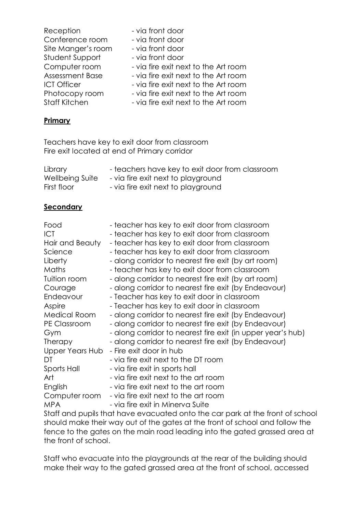| Reception              | - via front door                     |
|------------------------|--------------------------------------|
| Conference room        | - via front door                     |
| Site Manger's room     | - via front door                     |
| Student Support        | - via front door                     |
| Computer room          | - via fire exit next to the Art room |
| <b>Assessment Base</b> | - via fire exit next to the Art room |
| <b>ICT Officer</b>     | - via fire exit next to the Art room |
| Photocopy room         | - via fire exit next to the Art room |
| <b>Staff Kitchen</b>   | - via fire exit next to the Art room |

#### **Primary**

Teachers have key to exit door from classroom Fire exit located at end of Primary corridor

| Library         | - teachers have key to exit door from classroom |
|-----------------|-------------------------------------------------|
| Wellbeing Suite | - via fire exit next to playground              |
| First floor     | - via fire exit next to playground              |

#### **Secondary**

| Food                                                                       | - teacher has key to exit door from classroom               |  |
|----------------------------------------------------------------------------|-------------------------------------------------------------|--|
| <b>ICT</b>                                                                 | - teacher has key to exit door from classroom               |  |
| Hair and Beauty                                                            | - teacher has key to exit door from classroom               |  |
| Science                                                                    | - teacher has key to exit door from classroom               |  |
| Liberty                                                                    | - along corridor to nearest fire exit (by art room)         |  |
| Maths                                                                      | - teacher has key to exit door from classroom               |  |
| Tuition room                                                               | - along corridor to nearest fire exit (by art room)         |  |
| Courage                                                                    | - along corridor to nearest fire exit (by Endeavour)        |  |
| Endeavour                                                                  | - Teacher has key to exit door in classroom                 |  |
| Aspire                                                                     | - Teacher has key to exit door in classroom                 |  |
| Medical Room                                                               | - along corridor to nearest fire exit (by Endeavour)        |  |
| <b>PE Classroom</b>                                                        | - along corridor to nearest fire exit (by Endeavour)        |  |
| Gym                                                                        | - along corridor to nearest fire exit (in upper year's hub) |  |
| Therapy                                                                    | - along corridor to nearest fire exit (by Endeavour)        |  |
| Upper Years Hub                                                            | - Fire exit door in hub                                     |  |
| DT                                                                         | - via fire exit next to the DT room                         |  |
| Sports Hall                                                                | - via fire exit in sports hall                              |  |
| Art                                                                        | - via fire exit next to the art room                        |  |
| English                                                                    | - via fire exit next to the art room                        |  |
| Computer room                                                              | - via fire exit next to the art room                        |  |
| <b>MPA</b>                                                                 | - via fire exit in Minerva Suite                            |  |
| Staff and pupils that have evacuated onto the car park at the front of sch |                                                             |  |

Staff and pupils that have evacuated onto the car park at the front of school should make their way out of the gates at the front of school and follow the fence to the gates on the main road leading into the gated grassed area at the front of school.

Staff who evacuate into the playgrounds at the rear of the building should make their way to the gated grassed area at the front of school, accessed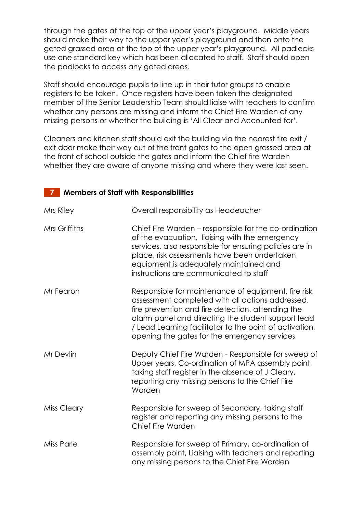through the gates at the top of the upper year's playground. Middle years should make their way to the upper year's playground and then onto the gated grassed area at the top of the upper year's playground. All padlocks use one standard key which has been allocated to staff. Staff should open the padlocks to access any gated areas.

Staff should encourage pupils to line up in their tutor groups to enable registers to be taken. Once registers have been taken the designated member of the Senior Leadership Team should liaise with teachers to confirm whether any persons are missing and inform the Chief Fire Warden of any missing persons or whether the building is 'All Clear and Accounted for'.

Cleaners and kitchen staff should exit the building via the nearest fire exit / exit door make their way out of the front gates to the open grassed area at the front of school outside the gates and inform the Chief fire Warden whether they are aware of anyone missing and where they were last seen.

# **7 Members of Staff with Responsibilities**

| Mrs Riley          | Overall responsibility as Headeacher                                                                                                                                                                                                                                                                                          |  |
|--------------------|-------------------------------------------------------------------------------------------------------------------------------------------------------------------------------------------------------------------------------------------------------------------------------------------------------------------------------|--|
| Mrs Griffiths      | Chief Fire Warden – responsible for the co-ordination<br>of the evacuation, liaising with the emergency<br>services, also responsible for ensuring policies are in<br>place, risk assessments have been undertaken,<br>equipment is adequately maintained and<br>instructions are communicated to staff                       |  |
| Mr Fearon          | Responsible for maintenance of equipment, fire risk<br>assessment completed with all actions addressed,<br>fire prevention and fire detection, attending the<br>alarm panel and directing the student support lead<br>/ Lead Learning facilitator to the point of activation,<br>opening the gates for the emergency services |  |
| Mr Devlin          | Deputy Chief Fire Warden - Responsible for sweep of<br>Upper years, Co-ordination of MPA assembly point,<br>taking staff register in the absence of J Cleary,<br>reporting any missing persons to the Chief Fire<br>Warden                                                                                                    |  |
| <b>Miss Cleary</b> | Responsible for sweep of Secondary, taking staff<br>register and reporting any missing persons to the<br>Chief Fire Warden                                                                                                                                                                                                    |  |
| <b>Miss Parle</b>  | Responsible for sweep of Primary, co-ordination of<br>assembly point, Liaising with teachers and reporting<br>any missing persons to the Chief Fire Warden                                                                                                                                                                    |  |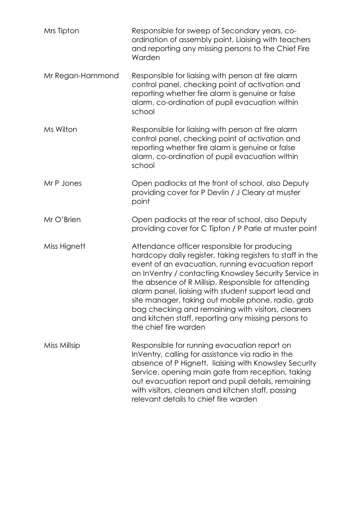| Mrs Tipton       | Responsible for sweep of Secondary years, co-<br>ordination of assembly point, Liaising with teachers<br>and reporting any missing persons to the Chief Fire<br>Warden                                                                                                                                                                                                                                                                                                                                                            |
|------------------|-----------------------------------------------------------------------------------------------------------------------------------------------------------------------------------------------------------------------------------------------------------------------------------------------------------------------------------------------------------------------------------------------------------------------------------------------------------------------------------------------------------------------------------|
| Mr Regan-Hammond | Responsible for liaising with person at fire alarm<br>control panel, checking point of activation and<br>reporting whether fire alarm is genuine or false<br>alarm, co-ordination of pupil evacuation within<br>school                                                                                                                                                                                                                                                                                                            |
| Ms Wilton        | Responsible for liaising with person at fire alarm<br>control panel, checking point of activation and<br>reporting whether fire alarm is genuine or false<br>alarm, co-ordination of pupil evacuation within<br>school                                                                                                                                                                                                                                                                                                            |
| Mr P Jones       | Open padlocks at the front of school, also Deputy<br>providing cover for P Devlin / J Cleary at muster<br>point                                                                                                                                                                                                                                                                                                                                                                                                                   |
| Mr O'Brien       | Open padlocks at the rear of school, also Deputy<br>providing cover for C Tipton / P Parle at muster point                                                                                                                                                                                                                                                                                                                                                                                                                        |
| Miss Hignett     | Attendance officer responsible for producing<br>hardcopy daily register, taking registers to staff in the<br>event of an evacuation, running evacuation report<br>on InVentry / contacting Knowsley Security Service in<br>the absence of R Millsip. Responsible for attending<br>alarm panel, liaising with student support lead and<br>site manager, taking out mobile phone, radio, grab<br>bag checking and remaining with visitors, cleaners<br>and kitchen staff, reporting any missing persons to<br>the chief fire warden |
| Miss Millsip     | Responsible for running evacuation report on<br>InVentry, calling for assistance via radio in the<br>absence of P Hignett, liaising with Knowsley Security<br>Service, opening main gate from reception, taking<br>out evacuation report and pupil details, remaining<br>with visitors, cleaners and kitchen staff, passing<br>relevant details to chief fire warden                                                                                                                                                              |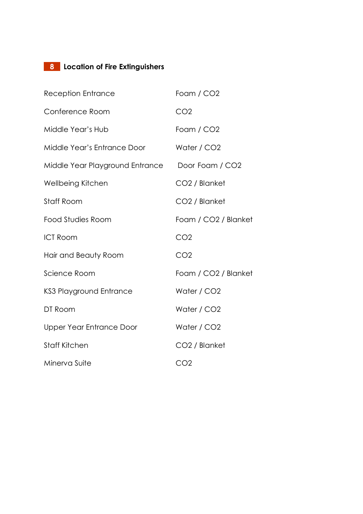# **8 Location of Fire Extinguishers**

| <b>Reception Entrance</b>       | Foam / CO <sub>2</sub>           |
|---------------------------------|----------------------------------|
| Conference Room                 | CO <sub>2</sub>                  |
| Middle Year's Hub               | Foam / CO <sub>2</sub>           |
| Middle Year's Entrance Door     | Water / CO <sub>2</sub>          |
| Middle Year Playground Entrance | Door Foam / CO2                  |
| Wellbeing Kitchen               | CO <sub>2</sub> / Blanket        |
| Staff Room                      | CO <sub>2</sub> / Blanket        |
| <b>Food Studies Room</b>        | Foam / CO2 / Blanket             |
| <b>ICT Room</b>                 | CO <sub>2</sub>                  |
| Hair and Beauty Room            | CO <sub>2</sub>                  |
| Science Room                    | Foam / CO <sub>2</sub> / Blanket |
| <b>KS3 Playground Entrance</b>  | Water / CO <sub>2</sub>          |
| DT Room                         | Water / CO <sub>2</sub>          |
| Upper Year Entrance Door        | Water / CO <sub>2</sub>          |
| <b>Staff Kitchen</b>            | CO <sub>2</sub> / Blanket        |
| Minerva Suite                   | CO <sub>2</sub>                  |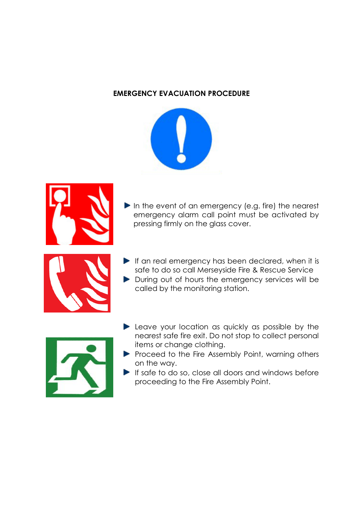#### **EMERGENCY EVACUATION PROCEDURE**



In the event of an emergency (e.g. fire) the nearest emergency alarm call point must be activated by pressing firmly on the glass cover.



- $\blacktriangleright$  If an real emergency has been declared, when it is safe to do so call Merseyside Fire & Rescue Service
- During out of hours the emergency services will be called by the monitoring station.



- **Leave your location as quickly as possible by the** nearest safe fire exit. Do not stop to collect personal items or change clothing.
- $\blacktriangleright$  Proceed to the Fire Assembly Point, warning others on the way.
- $\blacktriangleright$  If safe to do so, close all doors and windows before proceeding to the Fire Assembly Point.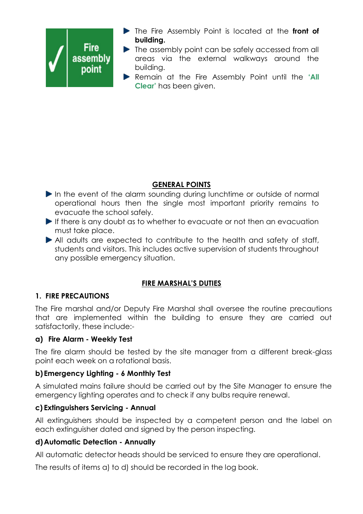

- The Fire Assembly Point is located at the **front of building.**
- The assembly point can be safely accessed from all areas via the external walkways around the building.
- Remain at the Fire Assembly Point until the **'All Clear'** has been given.

# **GENERAL POINTS**

- In the event of the alarm sounding during lunchtime or outside of normal operational hours then the single most important priority remains to evacuate the school safely.
- If there is any doubt as to whether to evacuate or not then an evacuation must take place.
- All adults are expected to contribute to the health and safety of staff, students and visitors. This includes active supervision of students throughout any possible emergency situation.

# **FIRE MARSHAL'S DUTIES**

# **1. FIRE PRECAUTIONS**

The Fire marshal and/or Deputy Fire Marshal shall oversee the routine precautions that are implemented within the building to ensure they are carried out satisfactorily, these include:-

# **a) Fire Alarm - Weekly Test**

The fire alarm should be tested by the site manager from a different break-glass point each week on a rotational basis.

# **b) Emergency Lighting** *-* **6 Monthly Test**

A simulated mains failure should be carried out by the Site Manager to ensure the emergency lighting operates and to check if any bulbs require renewal.

# **c) Extinguishers Servicing - Annual**

All extinguishers should be inspected by a competent person and the label on each extinguisher dated and signed by the person inspecting.

# **d)Automatic Detection - Annually**

All automatic detector heads should be serviced to ensure they are operational.

The results of items a) to d) should be recorded in the log book.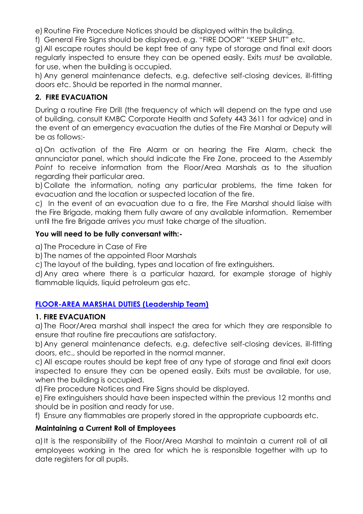e) Routine Fire Procedure Notices should be displayed within the building.

f) General Fire Signs should be displayed, e.g. "FIRE DOOR" "KEEP SHUT" etc.

g)All escape routes should be kept free of any type of storage and final exit doors regularly inspected to ensure they can be opened easily. Exits *must* be available, for use, when the building is occupied.

h) Any general maintenance defects, e.g. defective self-closing devices, ill-fitting doors etc. Should be reported in the normal manner.

# **2. FIRE EVACUATION**

During a routine Fire Drill (the frequency of which will depend on the type and use of building, consult KMBC Corporate Health and Safety 443 3611 for advice) and in the event of an emergency evacuation the duties of the Fire Marshal or Deputy will be as follows:-

a)On activation of the Fire Alarm or on hearing the Fire Alarm, check the annunciator panel, which should indicate the Fire Zone, proceed to the *Assembly Point* to receive information from the Floor/Area Marshals as to the situation regarding their particular area.

b)Collate the information, noting any particular problems, the time taken for evacuation and the location or suspected location of the fire.

c) In the event of an evacuation due to a fire, the Fire Marshal should liaise with the Fire Brigade, making them fully aware of any available information. Remember until the fire Brigade arrives *you* must take charge of the situation.

# **You will need to be fully conversant with:-**

a) The Procedure in Case of Fire

b) The names of the appointed Floor Marshals

c) The layout of the building, types and location of fire extinguishers.

d)Any area where there is a particular hazard, for example storage of highly flammable liquids, liquid petroleum gas etc.

# **FLOOR-AREA MARSHAL DUTIES (Leadership Team)**

# **1. FIRE EVACUATION**

a) The Floor/Area marshal shall inspect the area for which they are responsible to ensure that routine fire precautions are satisfactory.

b)Any general maintenance defects, e.g. defective self-closing devices, ill-fitting doors, etc., should be reported in the normal manner.

c) All escape routes should be kept free of any type of storage and final exit doors inspected to ensure they can be opened easily. Exits must be available, for use, when the building is occupied.

d) Fire procedure Notices and Fire Signs should be displayed.

e) Fire extinguishers should have been inspected within the previous 12 months and should be in position and ready for use.

f) Ensure any flammables are properly stored in the appropriate cupboards etc.

# **Maintaining a Current Roll of Employees**

a)It is the responsibility of the Floor/Area Marshal to maintain a current roll of all employees working in the area for which he is responsible together with up to date registers for all pupils.